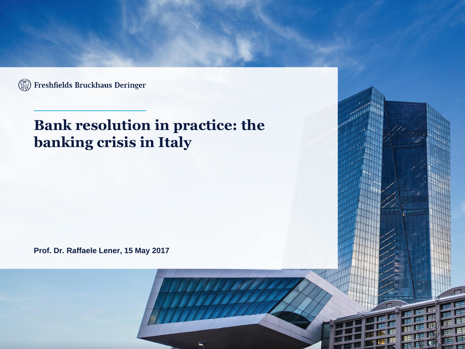

# **Bank resolution in practice: the banking crisis in Italy**

**Prof. Dr. Raffaele Lener, 15 May 2017**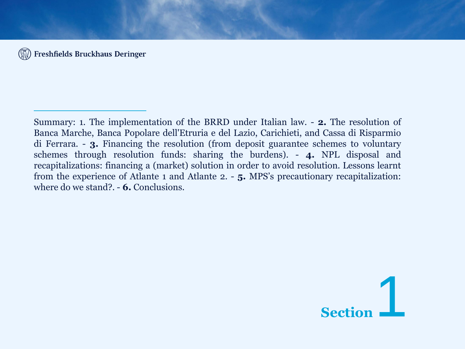

Summary: 1. The implementation of the BRRD under Italian law. - **2.** The resolution of Banca Marche, Banca Popolare dell'Etruria e del Lazio, Carichieti, and Cassa di Risparmio di Ferrara. - **3.** Financing the resolution (from deposit guarantee schemes to voluntary schemes through resolution funds: sharing the burdens). - **4.** NPL disposal and recapitalizations: financing a (market) solution in order to avoid resolution. Lessons learnt from the experience of Atlante 1 and Atlante 2. - **5.** MPS's precautionary recapitalization: where do we stand?. - **6.** Conclusions.

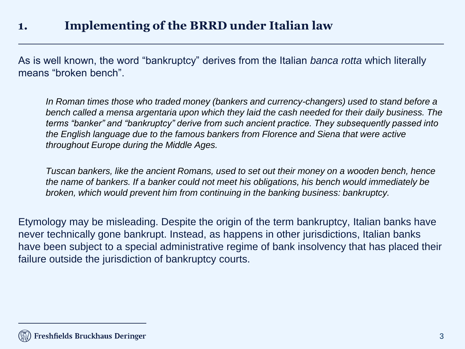## **1. Implementing of the BRRD under Italian law**

As is well known, the word "bankruptcy" derives from the Italian *banca rotta* which literally means "broken bench".

*In Roman times those who traded money (bankers and currency-changers) used to stand before a bench called a mensa argentaria upon which they laid the cash needed for their daily business. The terms "banker" and "bankruptcy" derive from such ancient practice. They subsequently passed into the English language due to the famous bankers from Florence and Siena that were active throughout Europe during the Middle Ages.*

*Tuscan bankers, like the ancient Romans, used to set out their money on a wooden bench, hence the name of bankers. If a banker could not meet his obligations, his bench would immediately be broken, which would prevent him from continuing in the banking business: bankruptcy.* 

Etymology may be misleading. Despite the origin of the term bankruptcy, Italian banks have never technically gone bankrupt. Instead, as happens in other jurisdictions, Italian banks have been subject to a special administrative regime of bank insolvency that has placed their failure outside the jurisdiction of bankruptcy courts.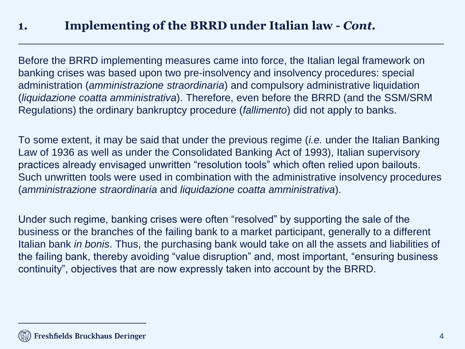## **1. Implementing of the BRRD under Italian law -** *Cont***.**

Before the BRRD implementing measures came into force, the Italian legal framework on banking crises was based upon two pre-insolvency and insolvency procedures: special administration (*amministrazione straordinaria*) and compulsory administrative liquidation (*liquidazione coatta amministrativa*). Therefore, even before the BRRD (and the SSM/SRM Regulations) the ordinary bankruptcy procedure (*fallimento*) did not apply to banks.

To some extent, it may be said that under the previous regime (*i.e.* under the Italian Banking Law of 1936 as well as under the Consolidated Banking Act of 1993), Italian supervisory practices already envisaged unwritten "resolution tools" which often relied upon bailouts. Such unwritten tools were used in combination with the administrative insolvency procedures (*amministrazione straordinaria* and *liquidazione coatta amministrativa*).

Under such regime, banking crises were often "resolved" by supporting the sale of the business or the branches of the failing bank to a market participant, generally to a different Italian bank *in bonis*. Thus, the purchasing bank would take on all the assets and liabilities of the failing bank, thereby avoiding "value disruption" and, most important, "ensuring business continuity", objectives that are now expressly taken into account by the BRRD.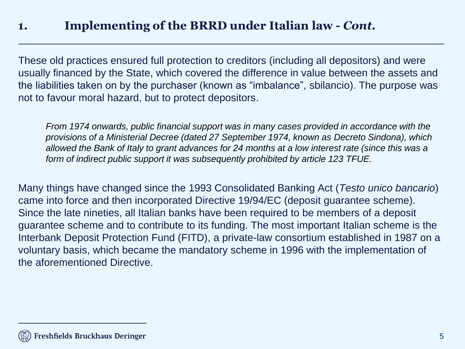## **1. Implementing of the BRRD under Italian law -** *Cont***.**

These old practices ensured full protection to creditors (including all depositors) and were usually financed by the State, which covered the difference in value between the assets and the liabilities taken on by the purchaser (known as "imbalance", sbilancio). The purpose was not to favour moral hazard, but to protect depositors.

*From 1974 onwards, public financial support was in many cases provided in accordance with the provisions of a Ministerial Decree (dated 27 September 1974, known as Decreto Sindona), which allowed the Bank of Italy to grant advances for 24 months at a low interest rate (since this was a form of indirect public support it was subsequently prohibited by article 123 TFUE.*

Many things have changed since the 1993 Consolidated Banking Act (*Testo unico bancario*) came into force and then incorporated Directive 19/94/EC (deposit guarantee scheme). Since the late nineties, all Italian banks have been required to be members of a deposit guarantee scheme and to contribute to its funding. The most important Italian scheme is the Interbank Deposit Protection Fund (FITD), a private-law consortium established in 1987 on a voluntary basis, which became the mandatory scheme in 1996 with the implementation of the aforementioned Directive.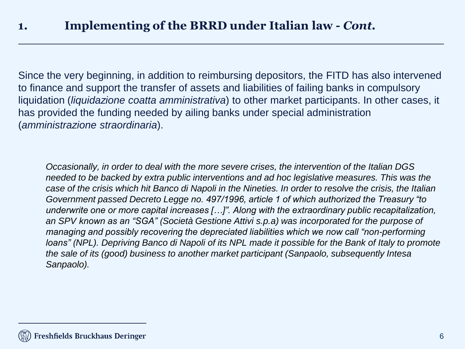Since the very beginning, in addition to reimbursing depositors, the FITD has also intervened to finance and support the transfer of assets and liabilities of failing banks in compulsory liquidation (*liquidazione coatta amministrativa*) to other market participants. In other cases, it has provided the funding needed by ailing banks under special administration (*amministrazione straordinaria*).

*Occasionally, in order to deal with the more severe crises, the intervention of the Italian DGS needed to be backed by extra public interventions and ad hoc legislative measures. This was the case of the crisis which hit Banco di Napoli in the Nineties. In order to resolve the crisis, the Italian Government passed Decreto Legge no. 497/1996, article 1 of which authorized the Treasury "to underwrite one or more capital increases […]". Along with the extraordinary public recapitalization, an SPV known as an "SGA" (Società Gestione Attivi s.p.a) was incorporated for the purpose of managing and possibly recovering the depreciated liabilities which we now call "non-performing loans" (NPL). Depriving Banco di Napoli of its NPL made it possible for the Bank of Italy to promote the sale of its (good) business to another market participant (Sanpaolo, subsequently Intesa Sanpaolo).*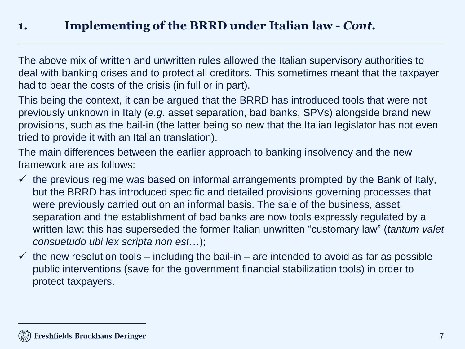## **1. Implementing of the BRRD under Italian law -** *Cont***.**

The above mix of written and unwritten rules allowed the Italian supervisory authorities to deal with banking crises and to protect all creditors. This sometimes meant that the taxpayer had to bear the costs of the crisis (in full or in part).

This being the context, it can be argued that the BRRD has introduced tools that were not previously unknown in Italy (*e.g*. asset separation, bad banks, SPVs) alongside brand new provisions, such as the bail-in (the latter being so new that the Italian legislator has not even tried to provide it with an Italian translation).

The main differences between the earlier approach to banking insolvency and the new framework are as follows:

- $\checkmark$  the previous regime was based on informal arrangements prompted by the Bank of Italy, but the BRRD has introduced specific and detailed provisions governing processes that were previously carried out on an informal basis. The sale of the business, asset separation and the establishment of bad banks are now tools expressly regulated by a written law: this has superseded the former Italian unwritten "customary law" (*tantum valet consuetudo ubi lex scripta non est*…);
- $\checkmark$  the new resolution tools including the bail-in are intended to avoid as far as possible public interventions (save for the government financial stabilization tools) in order to protect taxpayers.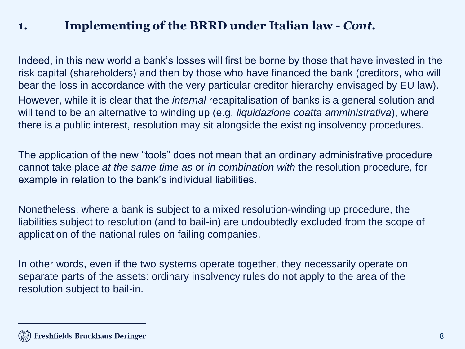## **1. Implementing of the BRRD under Italian law -** *Cont***.**

Indeed, in this new world a bank's losses will first be borne by those that have invested in the risk capital (shareholders) and then by those who have financed the bank (creditors, who will bear the loss in accordance with the very particular creditor hierarchy envisaged by EU law). However, while it is clear that the *internal* recapitalisation of banks is a general solution and will tend to be an alternative to winding up (e.g. *liquidazione coatta amministrativa*), where there is a public interest, resolution may sit alongside the existing insolvency procedures.

The application of the new "tools" does not mean that an ordinary administrative procedure cannot take place *at the same time as* or *in combination with* the resolution procedure, for example in relation to the bank's individual liabilities.

Nonetheless, where a bank is subject to a mixed resolution-winding up procedure, the liabilities subject to resolution (and to bail-in) are undoubtedly excluded from the scope of application of the national rules on failing companies.

In other words, even if the two systems operate together, they necessarily operate on separate parts of the assets: ordinary insolvency rules do not apply to the area of the resolution subject to bail-in.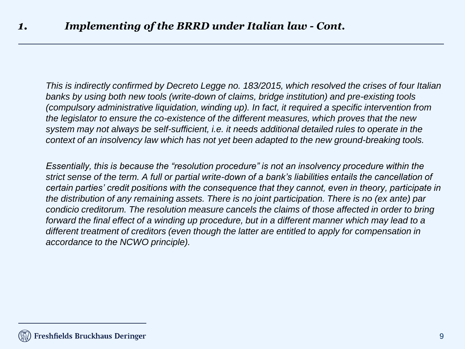*This is indirectly confirmed by Decreto Legge no. 183/2015, which resolved the crises of four Italian banks by using both new tools (write-down of claims, bridge institution) and pre-existing tools (compulsory administrative liquidation, winding up). In fact, it required a specific intervention from the legislator to ensure the co-existence of the different measures, which proves that the new system may not always be self-sufficient, i.e. it needs additional detailed rules to operate in the context of an insolvency law which has not yet been adapted to the new ground-breaking tools.*

*Essentially, this is because the "resolution procedure" is not an insolvency procedure within the strict sense of the term. A full or partial write-down of a bank's liabilities entails the cancellation of certain parties' credit positions with the consequence that they cannot, even in theory, participate in the distribution of any remaining assets. There is no joint participation. There is no (ex ante) par condicio creditorum. The resolution measure cancels the claims of those affected in order to bring forward the final effect of a winding up procedure, but in a different manner which may lead to a different treatment of creditors (even though the latter are entitled to apply for compensation in accordance to the NCWO principle).*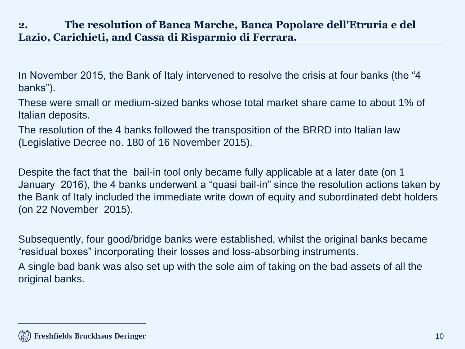### **2. The resolution of Banca Marche, Banca Popolare dell'Etruria e del Lazio, Carichieti, and Cassa di Risparmio di Ferrara.**

In November 2015, the Bank of Italy intervened to resolve the crisis at four banks (the "4 banks").

These were small or medium-sized banks whose total market share came to about 1% of Italian deposits.

The resolution of the 4 banks followed the transposition of the BRRD into Italian law (Legislative Decree no. 180 of 16 November 2015).

Despite the fact that the bail-in tool only became fully applicable at a later date (on 1 January 2016), the 4 banks underwent a "quasi bail-in" since the resolution actions taken by the Bank of Italy included the immediate write down of equity and subordinated debt holders (on 22 November 2015).

Subsequently, four good/bridge banks were established, whilst the original banks became "residual boxes" incorporating their losses and loss-absorbing instruments.

A single bad bank was also set up with the sole aim of taking on the bad assets of all the original banks.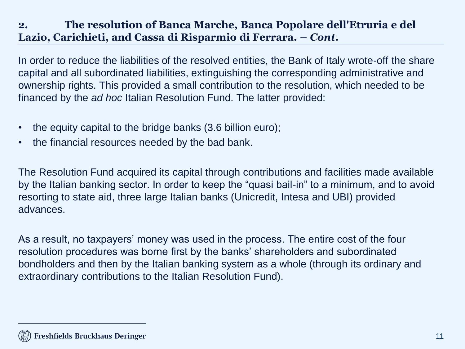### **2. The resolution of Banca Marche, Banca Popolare dell'Etruria e del Lazio, Carichieti, and Cassa di Risparmio di Ferrara. –** *Cont***.**

In order to reduce the liabilities of the resolved entities, the Bank of Italy wrote-off the share capital and all subordinated liabilities, extinguishing the corresponding administrative and ownership rights. This provided a small contribution to the resolution, which needed to be financed by the *ad hoc* Italian Resolution Fund. The latter provided:

- the equity capital to the bridge banks (3.6 billion euro);
- the financial resources needed by the bad bank.

The Resolution Fund acquired its capital through contributions and facilities made available by the Italian banking sector. In order to keep the "quasi bail-in" to a minimum, and to avoid resorting to state aid, three large Italian banks (Unicredit, Intesa and UBI) provided advances.

As a result, no taxpayers' money was used in the process. The entire cost of the four resolution procedures was borne first by the banks' shareholders and subordinated bondholders and then by the Italian banking system as a whole (through its ordinary and extraordinary contributions to the Italian Resolution Fund).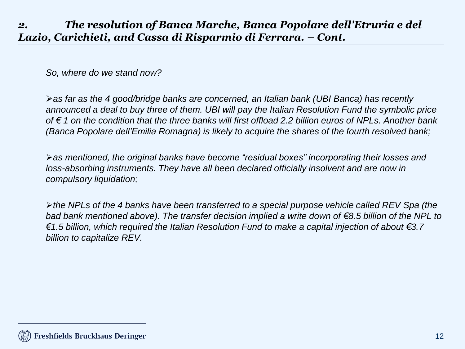*So, where do we stand now?* 

*as far as the 4 good/bridge banks are concerned, an Italian bank (UBI Banca) has recently announced a deal to buy three of them. UBI will pay the Italian Resolution Fund the symbolic price of € 1 on the condition that the three banks will first offload 2.2 billion euros of NPLs. Another bank (Banca Popolare dell'Emilia Romagna) is likely to acquire the shares of the fourth resolved bank;* 

 $\triangleright$  as mentioned, the original banks have become "residual boxes" incorporating their losses and *loss-absorbing instruments. They have all been declared officially insolvent and are now in compulsory liquidation;* 

*the NPLs of the 4 banks have been transferred to a special purpose vehicle called REV Spa (the bad bank mentioned above). The transfer decision implied a write down of €8.5 billion of the NPL to €1.5 billion, which required the Italian Resolution Fund to make a capital injection of about €3.7 billion to capitalize REV.*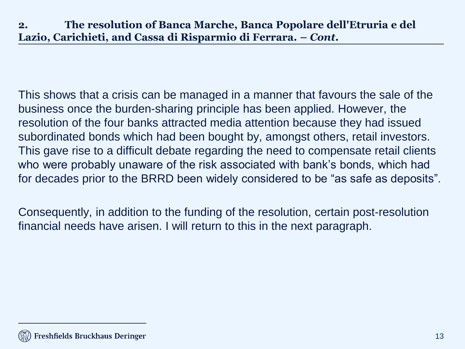### **2. The resolution of Banca Marche, Banca Popolare dell'Etruria e del Lazio, Carichieti, and Cassa di Risparmio di Ferrara. –** *Cont***.**

This shows that a crisis can be managed in a manner that favours the sale of the business once the burden-sharing principle has been applied. However, the resolution of the four banks attracted media attention because they had issued subordinated bonds which had been bought by, amongst others, retail investors. This gave rise to a difficult debate regarding the need to compensate retail clients who were probably unaware of the risk associated with bank's bonds, which had for decades prior to the BRRD been widely considered to be "as safe as deposits".

Consequently, in addition to the funding of the resolution, certain post-resolution financial needs have arisen. I will return to this in the next paragraph.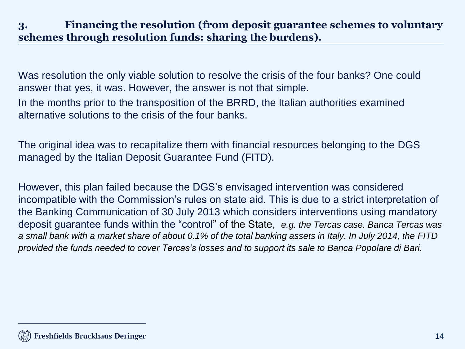Was resolution the only viable solution to resolve the crisis of the four banks? One could answer that yes, it was. However, the answer is not that simple. In the months prior to the transposition of the BRRD, the Italian authorities examined alternative solutions to the crisis of the four banks.

The original idea was to recapitalize them with financial resources belonging to the DGS managed by the Italian Deposit Guarantee Fund (FITD).

However, this plan failed because the DGS's envisaged intervention was considered incompatible with the Commission's rules on state aid. This is due to a strict interpretation of the Banking Communication of 30 July 2013 which considers interventions using mandatory deposit guarantee funds within the "control" of the State, *e.g. the Tercas case. Banca Tercas was a small bank with a market share of about 0.1% of the total banking assets in Italy. In July 2014, the FITD provided the funds needed to cover Tercas's losses and to support its sale to Banca Popolare di Bari.*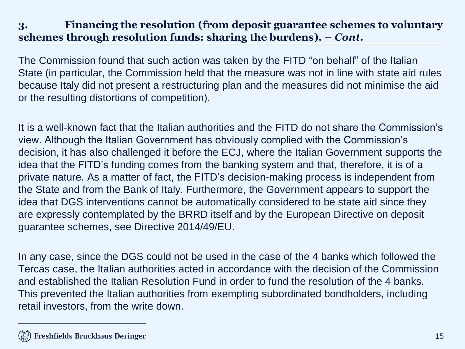The Commission found that such action was taken by the FITD "on behalf" of the Italian State (in particular, the Commission held that the measure was not in line with state aid rules because Italy did not present a restructuring plan and the measures did not minimise the aid or the resulting distortions of competition).

It is a well-known fact that the Italian authorities and the FITD do not share the Commission's view. Although the Italian Government has obviously complied with the Commission's decision, it has also challenged it before the ECJ, where the Italian Government supports the idea that the FITD's funding comes from the banking system and that, therefore, it is of a private nature. As a matter of fact, the FITD's decision-making process is independent from the State and from the Bank of Italy. Furthermore, the Government appears to support the idea that DGS interventions cannot be automatically considered to be state aid since they are expressly contemplated by the BRRD itself and by the European Directive on deposit guarantee schemes, see Directive 2014/49/EU.

In any case, since the DGS could not be used in the case of the 4 banks which followed the Tercas case, the Italian authorities acted in accordance with the decision of the Commission and established the Italian Resolution Fund in order to fund the resolution of the 4 banks. This prevented the Italian authorities from exempting subordinated bondholders, including retail investors, from the write down.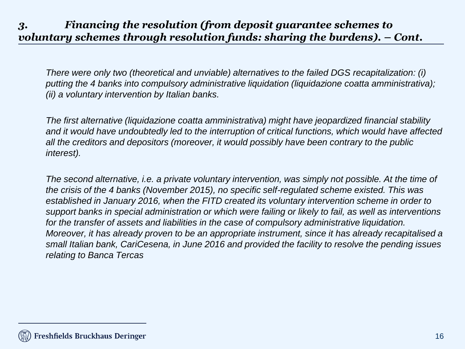*There were only two (theoretical and unviable) alternatives to the failed DGS recapitalization: (i) putting the 4 banks into compulsory administrative liquidation (liquidazione coatta amministrativa); (ii) a voluntary intervention by Italian banks.*

*The first alternative (liquidazione coatta amministrativa) might have jeopardized financial stability and it would have undoubtedly led to the interruption of critical functions, which would have affected all the creditors and depositors (moreover, it would possibly have been contrary to the public interest).* 

*The second alternative, i.e. a private voluntary intervention, was simply not possible. At the time of the crisis of the 4 banks (November 2015), no specific self-regulated scheme existed. This was established in January 2016, when the FITD created its voluntary intervention scheme in order to support banks in special administration or which were failing or likely to fail, as well as interventions for the transfer of assets and liabilities in the case of compulsory administrative liquidation. Moreover, it has already proven to be an appropriate instrument, since it has already recapitalised a small Italian bank, CariCesena, in June 2016 and provided the facility to resolve the pending issues relating to Banca Tercas*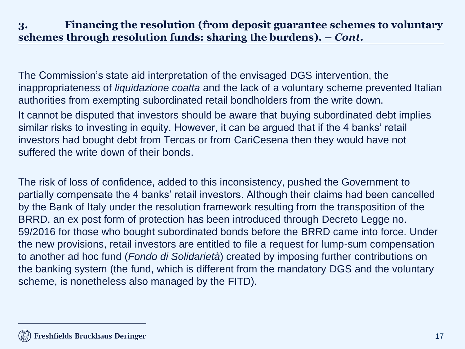The Commission's state aid interpretation of the envisaged DGS intervention, the inappropriateness of *liquidazione coatta* and the lack of a voluntary scheme prevented Italian authorities from exempting subordinated retail bondholders from the write down.

It cannot be disputed that investors should be aware that buying subordinated debt implies similar risks to investing in equity. However, it can be argued that if the 4 banks' retail investors had bought debt from Tercas or from CariCesena then they would have not suffered the write down of their bonds.

The risk of loss of confidence, added to this inconsistency, pushed the Government to partially compensate the 4 banks' retail investors. Although their claims had been cancelled by the Bank of Italy under the resolution framework resulting from the transposition of the BRRD, an ex post form of protection has been introduced through Decreto Legge no. 59/2016 for those who bought subordinated bonds before the BRRD came into force. Under the new provisions, retail investors are entitled to file a request for lump-sum compensation to another ad hoc fund (*Fondo di Solidarietà*) created by imposing further contributions on the banking system (the fund, which is different from the mandatory DGS and the voluntary scheme, is nonetheless also managed by the FITD).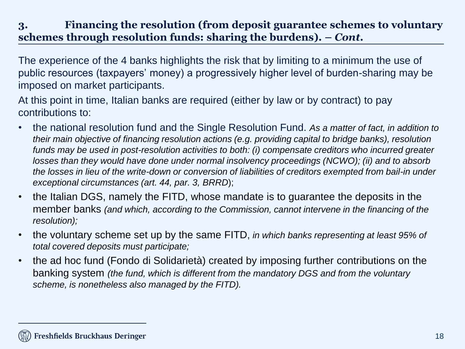The experience of the 4 banks highlights the risk that by limiting to a minimum the use of public resources (taxpayers' money) a progressively higher level of burden-sharing may be imposed on market participants.

At this point in time, Italian banks are required (either by law or by contract) to pay contributions to:

- the national resolution fund and the Single Resolution Fund. *As a matter of fact, in addition to their main objective of financing resolution actions (e.g. providing capital to bridge banks), resolution funds may be used in post-resolution activities to both: (i) compensate creditors who incurred greater losses than they would have done under normal insolvency proceedings (NCWO); (ii) and to absorb the losses in lieu of the write-down or conversion of liabilities of creditors exempted from bail-in under exceptional circumstances (art. 44, par. 3, BRRD*);
- the Italian DGS, namely the FITD, whose mandate is to guarantee the deposits in the member banks *(and which, according to the Commission, cannot intervene in the financing of the resolution);*
- the voluntary scheme set up by the same FITD, *in which banks representing at least 95% of total covered deposits must participate;*
- the ad hoc fund (Fondo di Solidarietà) created by imposing further contributions on the banking system *(the fund, which is different from the mandatory DGS and from the voluntary scheme, is nonetheless also managed by the FITD).*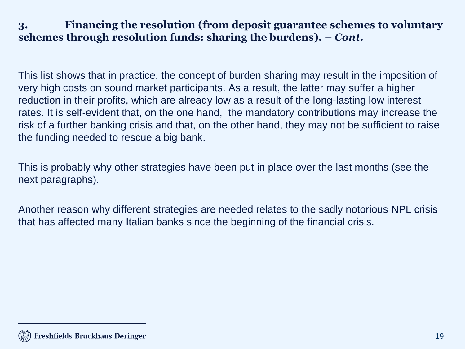This list shows that in practice, the concept of burden sharing may result in the imposition of very high costs on sound market participants. As a result, the latter may suffer a higher reduction in their profits, which are already low as a result of the long-lasting low interest rates. It is self-evident that, on the one hand, the mandatory contributions may increase the risk of a further banking crisis and that, on the other hand, they may not be sufficient to raise the funding needed to rescue a big bank.

This is probably why other strategies have been put in place over the last months (see the next paragraphs).

Another reason why different strategies are needed relates to the sadly notorious NPL crisis that has affected many Italian banks since the beginning of the financial crisis.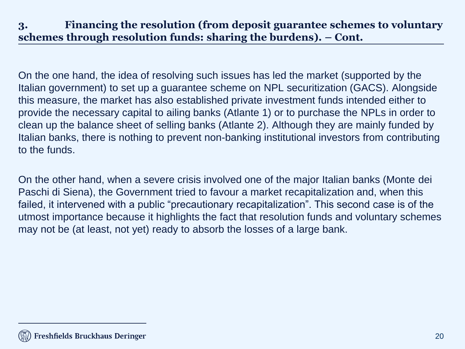On the one hand, the idea of resolving such issues has led the market (supported by the Italian government) to set up a guarantee scheme on NPL securitization (GACS). Alongside this measure, the market has also established private investment funds intended either to provide the necessary capital to ailing banks (Atlante 1) or to purchase the NPLs in order to clean up the balance sheet of selling banks (Atlante 2). Although they are mainly funded by Italian banks, there is nothing to prevent non-banking institutional investors from contributing to the funds.

On the other hand, when a severe crisis involved one of the major Italian banks (Monte dei Paschi di Siena), the Government tried to favour a market recapitalization and, when this failed, it intervened with a public "precautionary recapitalization". This second case is of the utmost importance because it highlights the fact that resolution funds and voluntary schemes may not be (at least, not yet) ready to absorb the losses of a large bank.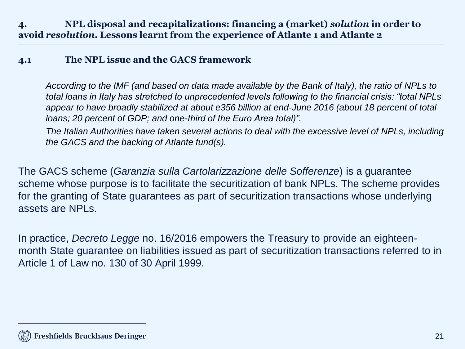### **4.1 The NPL issue and the GACS framework**

*According to the IMF (and based on data made available by the Bank of Italy), the ratio of NPLs to total loans in Italy has stretched to unprecedented levels following to the financial crisis: "total NPLs appear to have broadly stabilized at about e356 billion at end-June 2016 (about 18 percent of total loans; 20 percent of GDP; and one-third of the Euro Area total)".* 

*The Italian Authorities have taken several actions to deal with the excessive level of NPLs, including the GACS and the backing of Atlante fund(s).* 

The GACS scheme (*Garanzia sulla Cartolarizzazione delle Sofferenze*) is a guarantee scheme whose purpose is to facilitate the securitization of bank NPLs. The scheme provides for the granting of State guarantees as part of securitization transactions whose underlying assets are NPLs.

In practice, *Decreto Legge* no. 16/2016 empowers the Treasury to provide an eighteenmonth State guarantee on liabilities issued as part of securitization transactions referred to in Article 1 of Law no. 130 of 30 April 1999.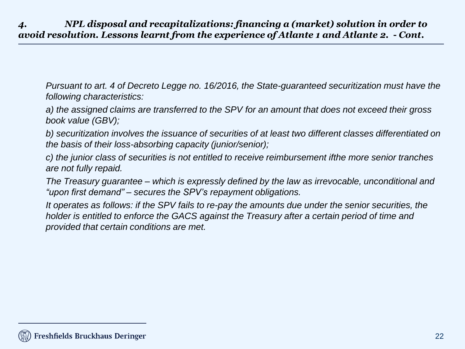*Pursuant to art. 4 of Decreto Legge no. 16/2016, the State-guaranteed securitization must have the following characteristics:*

*a) the assigned claims are transferred to the SPV for an amount that does not exceed their gross book value (GBV);* 

*b) securitization involves the issuance of securities of at least two different classes differentiated on the basis of their loss-absorbing capacity (junior/senior);* 

*c) the junior class of securities is not entitled to receive reimbursement ifthe more senior tranches are not fully repaid.*

*The Treasury guarantee – which is expressly defined by the law as irrevocable, unconditional and "upon first demand" – secures the SPV's repayment obligations.* 

*It operates as follows: if the SPV fails to re-pay the amounts due under the senior securities, the holder is entitled to enforce the GACS against the Treasury after a certain period of time and provided that certain conditions are met.*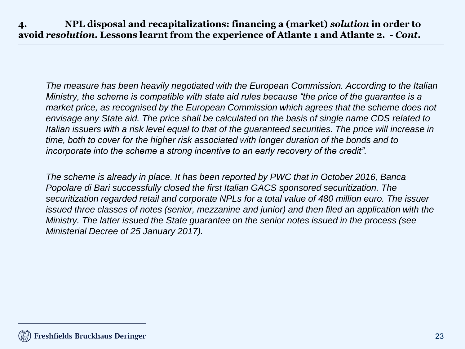*The measure has been heavily negotiated with the European Commission. According to the Italian Ministry, the scheme is compatible with state aid rules because "the price of the guarantee is a market price, as recognised by the European Commission which agrees that the scheme does not envisage any State aid. The price shall be calculated on the basis of single name CDS related to Italian issuers with a risk level equal to that of the guaranteed securities. The price will increase in time, both to cover for the higher risk associated with longer duration of the bonds and to incorporate into the scheme a strong incentive to an early recovery of the credit".* 

*The scheme is already in place. It has been reported by PWC that in October 2016, Banca Popolare di Bari successfully closed the first Italian GACS sponsored securitization. The securitization regarded retail and corporate NPLs for a total value of 480 million euro. The issuer issued three classes of notes (senior, mezzanine and junior) and then filed an application with the Ministry. The latter issued the State guarantee on the senior notes issued in the process (see Ministerial Decree of 25 January 2017).*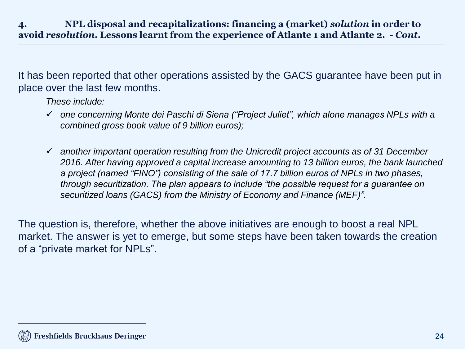It has been reported that other operations assisted by the GACS guarantee have been put in place over the last few months.

 *These include:* 

- *one concerning Monte dei Paschi di Siena ("Project Juliet", which alone manages NPLs with a combined gross book value of 9 billion euros);*
- *another important operation resulting from the Unicredit project accounts as of 31 December 2016. After having approved a capital increase amounting to 13 billion euros, the bank launched a project (named "FINO") consisting of the sale of 17.7 billion euros of NPLs in two phases, through securitization. The plan appears to include "the possible request for a guarantee on securitized loans (GACS) from the Ministry of Economy and Finance (MEF)".*

The question is, therefore, whether the above initiatives are enough to boost a real NPL market. The answer is yet to emerge, but some steps have been taken towards the creation of a "private market for NPLs".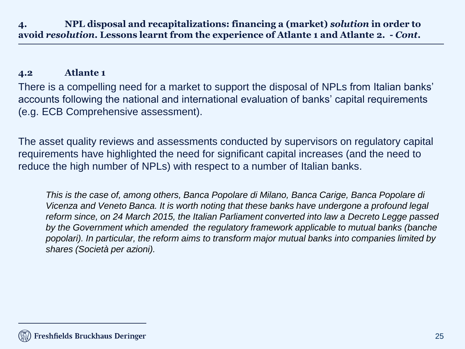### **4.2 Atlante 1**

There is a compelling need for a market to support the disposal of NPLs from Italian banks' accounts following the national and international evaluation of banks' capital requirements (e.g. ECB Comprehensive assessment).

The asset quality reviews and assessments conducted by supervisors on regulatory capital requirements have highlighted the need for significant capital increases (and the need to reduce the high number of NPLs) with respect to a number of Italian banks.

*This is the case of, among others, Banca Popolare di Milano, Banca Carige, Banca Popolare di Vicenza and Veneto Banca. It is worth noting that these banks have undergone a profound legal reform since, on 24 March 2015, the Italian Parliament converted into law a Decreto Legge passed by the Government which amended the regulatory framework applicable to mutual banks (banche popolari). In particular, the reform aims to transform major mutual banks into companies limited by shares (Società per azioni).*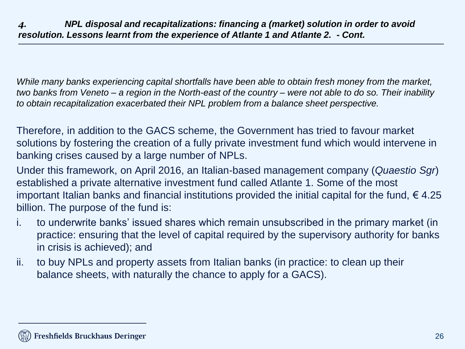*While many banks experiencing capital shortfalls have been able to obtain fresh money from the market, two banks from Veneto – a region in the North-east of the country – were not able to do so. Their inability to obtain recapitalization exacerbated their NPL problem from a balance sheet perspective.* 

Therefore, in addition to the GACS scheme, the Government has tried to favour market solutions by fostering the creation of a fully private investment fund which would intervene in banking crises caused by a large number of NPLs.

Under this framework, on April 2016, an Italian-based management company (*Quaestio Sgr*) established a private alternative investment fund called Atlante 1. Some of the most important Italian banks and financial institutions provided the initial capital for the fund,  $\epsilon$  4.25 billion. The purpose of the fund is:

- i. to underwrite banks' issued shares which remain unsubscribed in the primary market (in practice: ensuring that the level of capital required by the supervisory authority for banks in crisis is achieved); and
- ii. to buy NPLs and property assets from Italian banks (in practice: to clean up their balance sheets, with naturally the chance to apply for a GACS).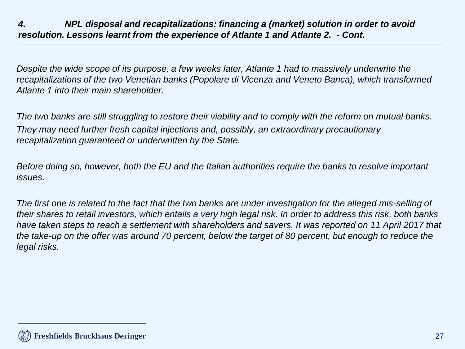### *4. NPL disposal and recapitalizations: financing a (market) solution in order to avoid resolution. Lessons learnt from the experience of Atlante 1 and Atlante 2. - Cont.*

*Despite the wide scope of its purpose, a few weeks later, Atlante 1 had to massively underwrite the recapitalizations of the two Venetian banks (Popolare di Vicenza and Veneto Banca), which transformed Atlante 1 into their main shareholder.*

*The two banks are still struggling to restore their viability and to comply with the reform on mutual banks. They may need further fresh capital injections and, possibly, an extraordinary precautionary recapitalization guaranteed or underwritten by the State.*

*Before doing so, however, both the EU and the Italian authorities require the banks to resolve important issues.*

*The first one is related to the fact that the two banks are under investigation for the alleged mis-selling of their shares to retail investors, which entails a very high legal risk. In order to address this risk, both banks have taken steps to reach a settlement with shareholders and savers. It was reported on 11 April 2017 that the take-up on the offer was around 70 percent, below the target of 80 percent, but enough to reduce the legal risks.*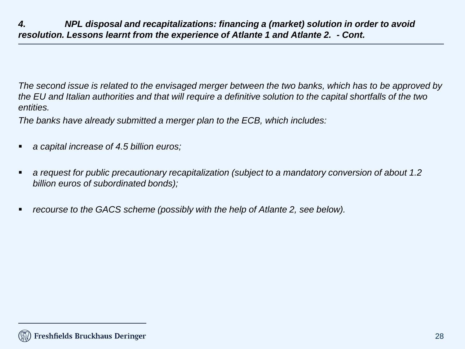*The second issue is related to the envisaged merger between the two banks, which has to be approved by the EU and Italian authorities and that will require a definitive solution to the capital shortfalls of the two entities.*

*The banks have already submitted a merger plan to the ECB, which includes:* 

- *a capital increase of 4.5 billion euros;*
- *a request for public precautionary recapitalization (subject to a mandatory conversion of about 1.2 billion euros of subordinated bonds);*
- *recourse to the GACS scheme (possibly with the help of Atlante 2, see below).*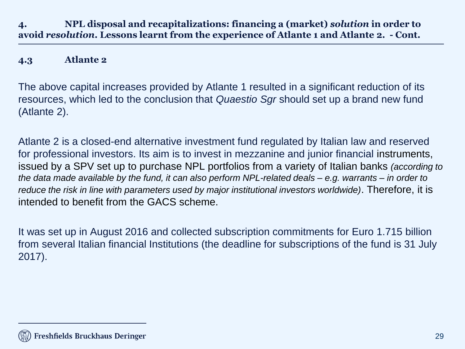### **4.3 Atlante 2**

The above capital increases provided by Atlante 1 resulted in a significant reduction of its resources, which led to the conclusion that *Quaestio Sgr* should set up a brand new fund (Atlante 2).

Atlante 2 is a closed-end alternative investment fund regulated by Italian law and reserved for professional investors. Its aim is to invest in mezzanine and junior financial instruments, issued by a SPV set up to purchase NPL portfolios from a variety of Italian banks *(according to the data made available by the fund, it can also perform NPL-related deals – e.g. warrants – in order to reduce the risk in line with parameters used by major institutional investors worldwide)*. Therefore, it is intended to benefit from the GACS scheme.

It was set up in August 2016 and collected subscription commitments for Euro 1.715 billion from several Italian financial Institutions (the deadline for subscriptions of the fund is 31 July 2017).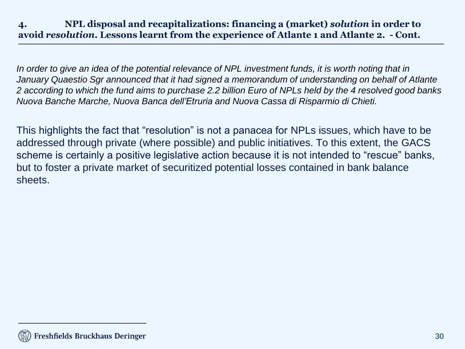### **4. NPL disposal and recapitalizations: financing a (market)** *solution* **in order to avoid** *resolution***. Lessons learnt from the experience of Atlante 1 and Atlante 2. - Cont.**

*In order to give an idea of the potential relevance of NPL investment funds, it is worth noting that in January Quaestio Sgr announced that it had signed a memorandum of understanding on behalf of Atlante 2 according to which the fund aims to purchase 2.2 billion Euro of NPLs held by the 4 resolved good banks Nuova Banche Marche, Nuova Banca dell'Etruria and Nuova Cassa di Risparmio di Chieti.* 

This highlights the fact that "resolution" is not a panacea for NPLs issues, which have to be addressed through private (where possible) and public initiatives. To this extent, the GACS scheme is certainly a positive legislative action because it is not intended to "rescue" banks, but to foster a private market of securitized potential losses contained in bank balance sheets.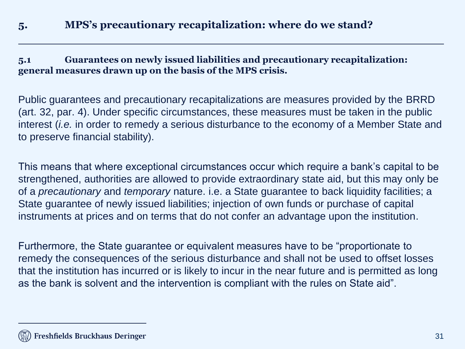### **5.1 Guarantees on newly issued liabilities and precautionary recapitalization: general measures drawn up on the basis of the MPS crisis.**

Public guarantees and precautionary recapitalizations are measures provided by the BRRD (art. 32, par. 4). Under specific circumstances, these measures must be taken in the public interest (*i.e.* in order to remedy a serious disturbance to the economy of a Member State and to preserve financial stability).

This means that where exceptional circumstances occur which require a bank's capital to be strengthened, authorities are allowed to provide extraordinary state aid, but this may only be of a *precautionary* and *temporary* nature. i.e. a State guarantee to back liquidity facilities; a State guarantee of newly issued liabilities; injection of own funds or purchase of capital instruments at prices and on terms that do not confer an advantage upon the institution.

Furthermore, the State guarantee or equivalent measures have to be "proportionate to remedy the consequences of the serious disturbance and shall not be used to offset losses that the institution has incurred or is likely to incur in the near future and is permitted as long as the bank is solvent and the intervention is compliant with the rules on State aid".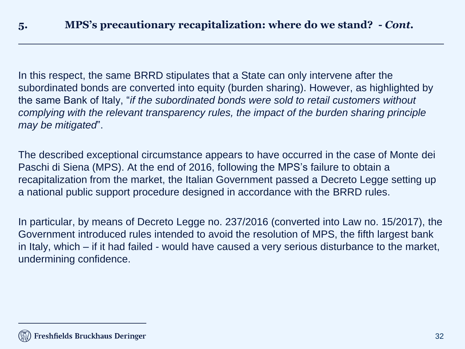In this respect, the same BRRD stipulates that a State can only intervene after the subordinated bonds are converted into equity (burden sharing). However, as highlighted by the same Bank of Italy, "*if the subordinated bonds were sold to retail customers without complying with the relevant transparency rules, the impact of the burden sharing principle may be mitigated*".

The described exceptional circumstance appears to have occurred in the case of Monte dei Paschi di Siena (MPS). At the end of 2016, following the MPS's failure to obtain a recapitalization from the market, the Italian Government passed a Decreto Legge setting up a national public support procedure designed in accordance with the BRRD rules.

In particular, by means of Decreto Legge no. 237/2016 (converted into Law no. 15/2017), the Government introduced rules intended to avoid the resolution of MPS, the fifth largest bank in Italy, which – if it had failed - would have caused a very serious disturbance to the market, undermining confidence.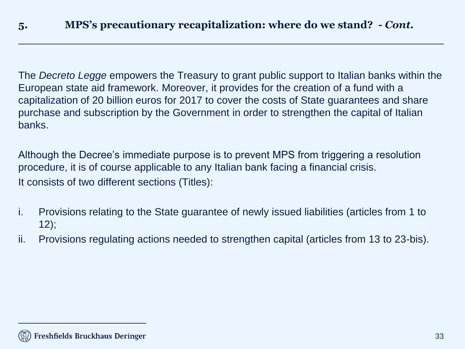The *Decreto Legge* empowers the Treasury to grant public support to Italian banks within the European state aid framework. Moreover, it provides for the creation of a fund with a capitalization of 20 billion euros for 2017 to cover the costs of State guarantees and share purchase and subscription by the Government in order to strengthen the capital of Italian banks.

Although the Decree's immediate purpose is to prevent MPS from triggering a resolution procedure, it is of course applicable to any Italian bank facing a financial crisis. It consists of two different sections (Titles):

- i. Provisions relating to the State guarantee of newly issued liabilities (articles from 1 to  $12$ :
- ii. Provisions regulating actions needed to strengthen capital (articles from 13 to 23-bis).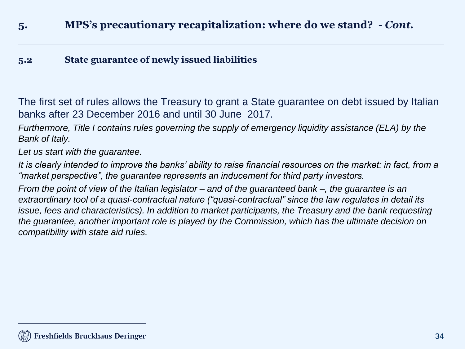### **5.2 State guarantee of newly issued liabilities**

The first set of rules allows the Treasury to grant a State guarantee on debt issued by Italian banks after 23 December 2016 and until 30 June 2017.

*Furthermore, Title I contains rules governing the supply of emergency liquidity assistance (ELA) by the Bank of Italy.*

*Let us start with the guarantee.* 

*It is clearly intended to improve the banks' ability to raise financial resources on the market: in fact, from a "market perspective", the guarantee represents an inducement for third party investors.* 

*From the point of view of the Italian legislator – and of the guaranteed bank –, the guarantee is an extraordinary tool of a quasi-contractual nature ("quasi-contractual" since the law regulates in detail its issue, fees and characteristics). In addition to market participants, the Treasury and the bank requesting the guarantee, another important role is played by the Commission, which has the ultimate decision on compatibility with state aid rules.*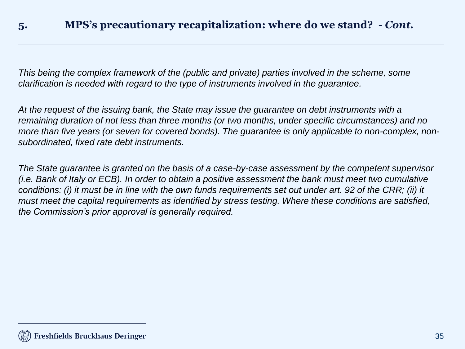*This being the complex framework of the (public and private) parties involved in the scheme, some clarification is needed with regard to the type of instruments involved in the guarantee.*

*At the request of the issuing bank, the State may issue the guarantee on debt instruments with a remaining duration of not less than three months (or two months, under specific circumstances) and no more than five years (or seven for covered bonds). The guarantee is only applicable to non-complex, nonsubordinated, fixed rate debt instruments.* 

*The State guarantee is granted on the basis of a case-by-case assessment by the competent supervisor (i.e. Bank of Italy or ECB). In order to obtain a positive assessment the bank must meet two cumulative conditions: (i) it must be in line with the own funds requirements set out under art. 92 of the CRR; (ii) it must meet the capital requirements as identified by stress testing. Where these conditions are satisfied, the Commission's prior approval is generally required.*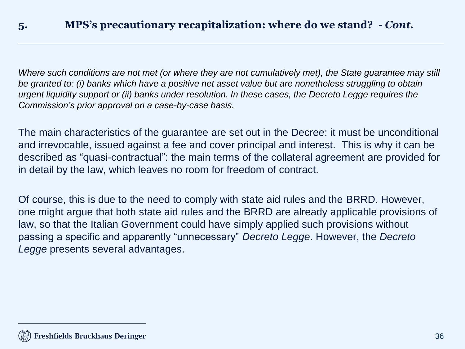*Where such conditions are not met (or where they are not cumulatively met), the State guarantee may still be granted to: (i) banks which have a positive net asset value but are nonetheless struggling to obtain urgent liquidity support or (ii) banks under resolution. In these cases, the Decreto Legge requires the Commission's prior approval on a case-by-case basis.*

The main characteristics of the guarantee are set out in the Decree: it must be unconditional and irrevocable, issued against a fee and cover principal and interest. This is why it can be described as "quasi-contractual": the main terms of the collateral agreement are provided for in detail by the law, which leaves no room for freedom of contract.

Of course, this is due to the need to comply with state aid rules and the BRRD. However, one might argue that both state aid rules and the BRRD are already applicable provisions of law, so that the Italian Government could have simply applied such provisions without passing a specific and apparently "unnecessary" *Decreto Legge*. However, the *Decreto Legge* presents several advantages.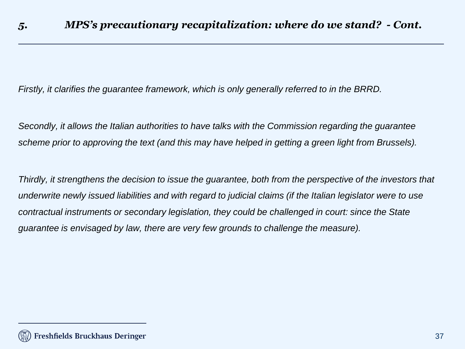*Firstly, it clarifies the guarantee framework, which is only generally referred to in the BRRD.* 

*Secondly, it allows the Italian authorities to have talks with the Commission regarding the guarantee scheme prior to approving the text (and this may have helped in getting a green light from Brussels).* 

*Thirdly, it strengthens the decision to issue the guarantee, both from the perspective of the investors that underwrite newly issued liabilities and with regard to judicial claims (if the Italian legislator were to use contractual instruments or secondary legislation, they could be challenged in court: since the State guarantee is envisaged by law, there are very few grounds to challenge the measure).*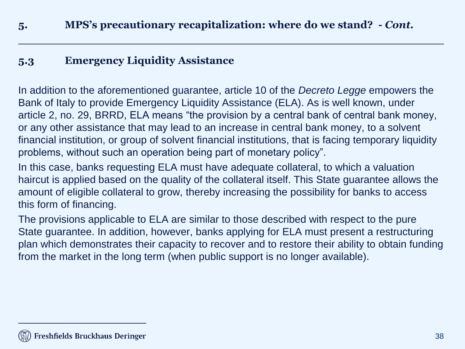### **5.3 Emergency Liquidity Assistance**

In addition to the aforementioned guarantee, article 10 of the *Decreto Legge* empowers the Bank of Italy to provide Emergency Liquidity Assistance (ELA). As is well known, under article 2, no. 29, BRRD, ELA means "the provision by a central bank of central bank money, or any other assistance that may lead to an increase in central bank money, to a solvent financial institution, or group of solvent financial institutions, that is facing temporary liquidity problems, without such an operation being part of monetary policy".

In this case, banks requesting ELA must have adequate collateral, to which a valuation haircut is applied based on the quality of the collateral itself. This State guarantee allows the amount of eligible collateral to grow, thereby increasing the possibility for banks to access this form of financing.

The provisions applicable to ELA are similar to those described with respect to the pure State guarantee. In addition, however, banks applying for ELA must present a restructuring plan which demonstrates their capacity to recover and to restore their ability to obtain funding from the market in the long term (when public support is no longer available).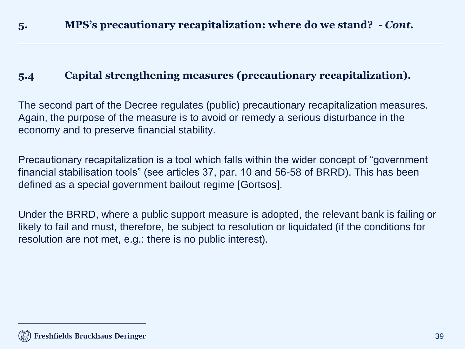### **5.4 Capital strengthening measures (precautionary recapitalization).**

The second part of the Decree regulates (public) precautionary recapitalization measures. Again, the purpose of the measure is to avoid or remedy a serious disturbance in the economy and to preserve financial stability.

Precautionary recapitalization is a tool which falls within the wider concept of "government financial stabilisation tools" (see articles 37, par. 10 and 56-58 of BRRD). This has been defined as a special government bailout regime [Gortsos].

Under the BRRD, where a public support measure is adopted, the relevant bank is failing or likely to fail and must, therefore, be subject to resolution or liquidated (if the conditions for resolution are not met, e.g.: there is no public interest).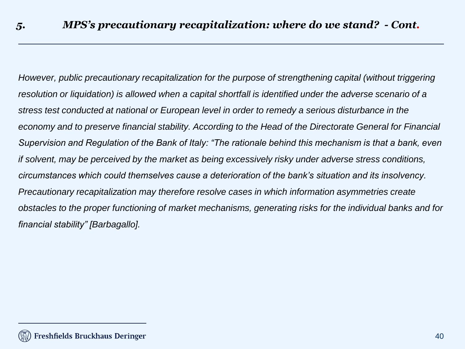*However, public precautionary recapitalization for the purpose of strengthening capital (without triggering resolution or liquidation) is allowed when a capital shortfall is identified under the adverse scenario of a stress test conducted at national or European level in order to remedy a serious disturbance in the economy and to preserve financial stability. According to the Head of the Directorate General for Financial Supervision and Regulation of the Bank of Italy: "The rationale behind this mechanism is that a bank, even if solvent, may be perceived by the market as being excessively risky under adverse stress conditions, circumstances which could themselves cause a deterioration of the bank's situation and its insolvency. Precautionary recapitalization may therefore resolve cases in which information asymmetries create obstacles to the proper functioning of market mechanisms, generating risks for the individual banks and for financial stability" [Barbagallo].*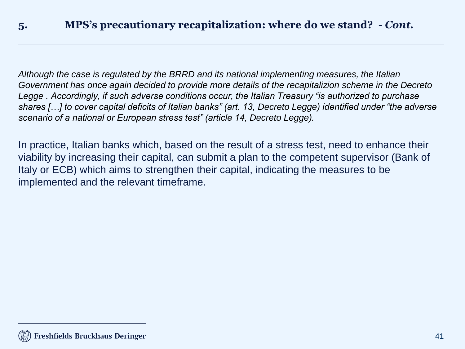*Although the case is regulated by the BRRD and its national implementing measures, the Italian Government has once again decided to provide more details of the recapitalizion scheme in the Decreto Legge . Accordingly, if such adverse conditions occur, the Italian Treasury "is authorized to purchase shares […] to cover capital deficits of Italian banks" (art. 13, Decreto Legge) identified under "the adverse scenario of a national or European stress test" (article 14, Decreto Legge).* 

In practice, Italian banks which, based on the result of a stress test, need to enhance their viability by increasing their capital, can submit a plan to the competent supervisor (Bank of Italy or ECB) which aims to strengthen their capital, indicating the measures to be implemented and the relevant timeframe.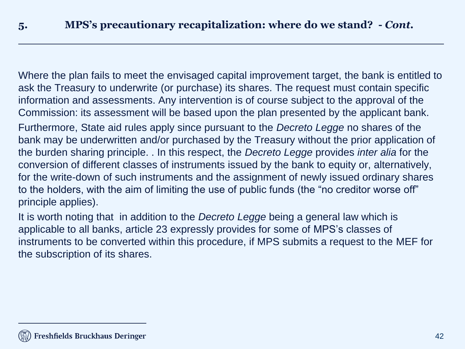Where the plan fails to meet the envisaged capital improvement target, the bank is entitled to ask the Treasury to underwrite (or purchase) its shares. The request must contain specific information and assessments. Any intervention is of course subject to the approval of the Commission: its assessment will be based upon the plan presented by the applicant bank.

Furthermore, State aid rules apply since pursuant to the *Decreto Legge* no shares of the bank may be underwritten and/or purchased by the Treasury without the prior application of the burden sharing principle. . In this respect, the *Decreto Legge* provides *inter alia* for the conversion of different classes of instruments issued by the bank to equity or, alternatively, for the write-down of such instruments and the assignment of newly issued ordinary shares to the holders, with the aim of limiting the use of public funds (the "no creditor worse off" principle applies).

It is worth noting that in addition to the *Decreto Legge* being a general law which is applicable to all banks, article 23 expressly provides for some of MPS's classes of instruments to be converted within this procedure, if MPS submits a request to the MEF for the subscription of its shares.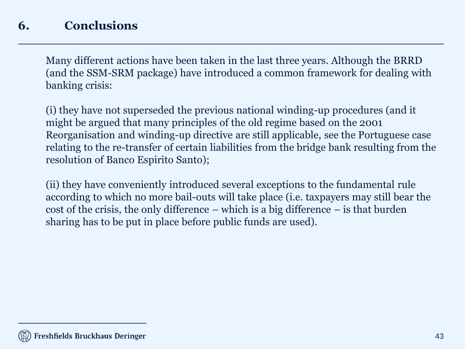## **6. Conclusions**

Many different actions have been taken in the last three years. Although the BRRD (and the SSM-SRM package) have introduced a common framework for dealing with banking crisis:

(i) they have not superseded the previous national winding-up procedures (and it might be argued that many principles of the old regime based on the 2001 Reorganisation and winding-up directive are still applicable, see the Portuguese case relating to the re-transfer of certain liabilities from the bridge bank resulting from the resolution of Banco Espirito Santo);

(ii) they have conveniently introduced several exceptions to the fundamental rule according to which no more bail-outs will take place (i.e. taxpayers may still bear the cost of the crisis, the only difference – which is a big difference – is that burden sharing has to be put in place before public funds are used).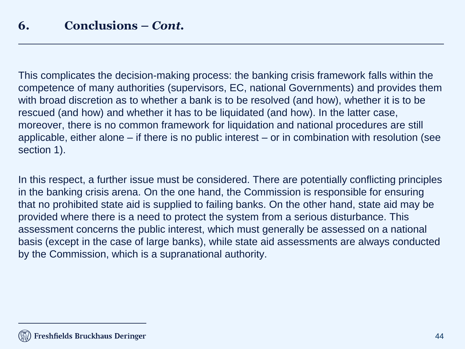This complicates the decision-making process: the banking crisis framework falls within the competence of many authorities (supervisors, EC, national Governments) and provides them with broad discretion as to whether a bank is to be resolved (and how), whether it is to be rescued (and how) and whether it has to be liquidated (and how). In the latter case, moreover, there is no common framework for liquidation and national procedures are still applicable, either alone – if there is no public interest – or in combination with resolution (see section 1).

In this respect, a further issue must be considered. There are potentially conflicting principles in the banking crisis arena. On the one hand, the Commission is responsible for ensuring that no prohibited state aid is supplied to failing banks. On the other hand, state aid may be provided where there is a need to protect the system from a serious disturbance. This assessment concerns the public interest, which must generally be assessed on a national basis (except in the case of large banks), while state aid assessments are always conducted by the Commission, which is a supranational authority.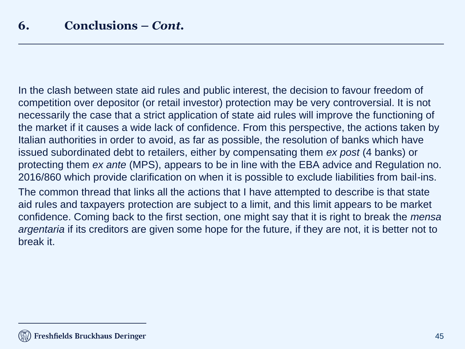In the clash between state aid rules and public interest, the decision to favour freedom of competition over depositor (or retail investor) protection may be very controversial. It is not necessarily the case that a strict application of state aid rules will improve the functioning of the market if it causes a wide lack of confidence. From this perspective, the actions taken by Italian authorities in order to avoid, as far as possible, the resolution of banks which have issued subordinated debt to retailers, either by compensating them *ex post* (4 banks) or protecting them *ex ante* (MPS), appears to be in line with the EBA advice and Regulation no. 2016/860 which provide clarification on when it is possible to exclude liabilities from bail-ins.

The common thread that links all the actions that I have attempted to describe is that state aid rules and taxpayers protection are subject to a limit, and this limit appears to be market confidence. Coming back to the first section, one might say that it is right to break the *mensa argentaria* if its creditors are given some hope for the future, if they are not, it is better not to break it.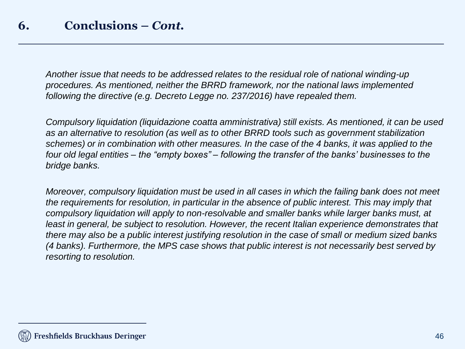*Another issue that needs to be addressed relates to the residual role of national winding-up procedures. As mentioned, neither the BRRD framework, nor the national laws implemented following the directive (e.g. Decreto Legge no. 237/2016) have repealed them.*

*Compulsory liquidation (liquidazione coatta amministrativa) still exists. As mentioned, it can be used as an alternative to resolution (as well as to other BRRD tools such as government stabilization schemes) or in combination with other measures. In the case of the 4 banks, it was applied to the four old legal entities – the "empty boxes" – following the transfer of the banks' businesses to the bridge banks.*

*Moreover, compulsory liquidation must be used in all cases in which the failing bank does not meet the requirements for resolution, in particular in the absence of public interest. This may imply that compulsory liquidation will apply to non-resolvable and smaller banks while larger banks must, at least in general, be subject to resolution. However, the recent Italian experience demonstrates that there may also be a public interest justifying resolution in the case of small or medium sized banks (4 banks). Furthermore, the MPS case shows that public interest is not necessarily best served by resorting to resolution.*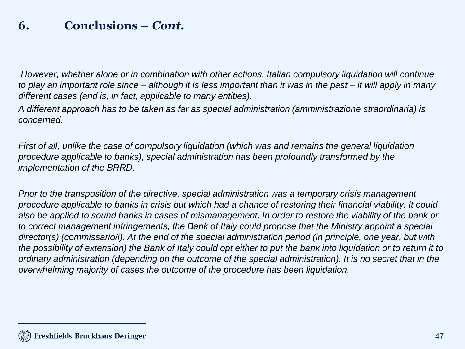*However, whether alone or in combination with other actions, Italian compulsory liquidation will continue to play an important role since – although it is less important than it was in the past – it will apply in many different cases (and is, in fact, applicable to many entities).* 

*A different approach has to be taken as far as special administration (amministrazione straordinaria) is concerned.*

*First of all, unlike the case of compulsory liquidation (which was and remains the general liquidation procedure applicable to banks), special administration has been profoundly transformed by the implementation of the BRRD.*

*Prior to the transposition of the directive, special administration was a temporary crisis management procedure applicable to banks in crisis but which had a chance of restoring their financial viability. It could also be applied to sound banks in cases of mismanagement. In order to restore the viability of the bank or to correct management infringements, the Bank of Italy could propose that the Ministry appoint a special director(s) (commissario/i). At the end of the special administration period (in principle, one year, but with the possibility of extension) the Bank of Italy could opt either to put the bank into liquidation or to return it to ordinary administration (depending on the outcome of the special administration). It is no secret that in the overwhelming majority of cases the outcome of the procedure has been liquidation.*

Freshfields Bruckhaus Deringer